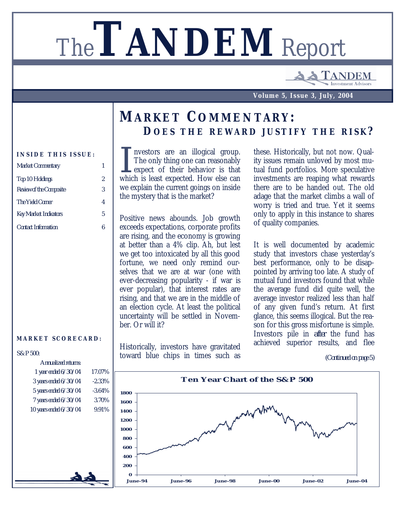# The**TANDEM** Report

**ANDEM** nvestment Advisor

**Volume 5, Issue 3, July, 2004**

## *MARKET COMMENTARY: D OES THE REWARD JUSTIFY THE RISK ?*

#### **INSIDE THIS ISSUE:**

| <b>Market Commentary</b>       |   |
|--------------------------------|---|
| Top 10 Holdings                | 2 |
| <b>Review of the Composite</b> | 3 |
| The Yield Corner               | 4 |
| <b>Key Market Indicators</b>   | 5 |
| <b>Contact Information</b>     | ĥ |

#### **MARKET SCORECARD:**

#### *S&P 500:*

| Annualized returns:       |           |
|---------------------------|-----------|
| 1 year ended $6/30/04$    | 17.07%    |
| 3 years ended $6/30/04$   | $-2.33%$  |
| 5 years ended 6/30/04     | $-3.64\%$ |
| $7$ years ended $6/30/04$ | 3.70%     |
| 10 years ended 6/30/04    | 9.91%     |
|                           |           |
|                           |           |
|                           |           |
|                           |           |
|                           |           |
|                           |           |
|                           |           |

I nvestors are an illogical group.<br>The only thing one can reasonably<br>expect of their behavior is that<br>which is least expected. How else can nvestors are an illogical group. The only thing one can reasonably expect of their behavior is that we explain the current goings on inside the mystery that is the market?

Positive news abounds. Job growth exceeds expectations, corporate profits are rising, and the economy is growing at better than a 4% clip. Ah, but lest we get too intoxicated by all this good fortune, we need only remind ourselves that we are at war (one with ever-decreasing popularity - if war is ever popular), that interest rates are rising, and that we are in the middle of an election cycle. At least the political uncertainty will be settled in November. Or will it?

Historically, investors have gravitated toward blue chips in times such as these. Historically, but not now. Quality issues remain unloved by most mutual fund portfolios. More speculative investments are reaping what rewards there are to be handed out. The old adage that the market climbs a wall of worry is tried and true. Yet it seems only to apply in this instance to shares of quality companies.

It is well documented by academic study that investors chase yesterday's best performance, only to be disappointed by arriving too late. A study of mutual fund investors found that while the average fund did quite well, the average investor realized less than half of any given fund's return. At first glance, this seems illogical. But the reason for this gross misfortune is simple. Investors pile in *after* the fund has achieved superior results, and flee

*<sup>(</sup>Continued on page 5)*

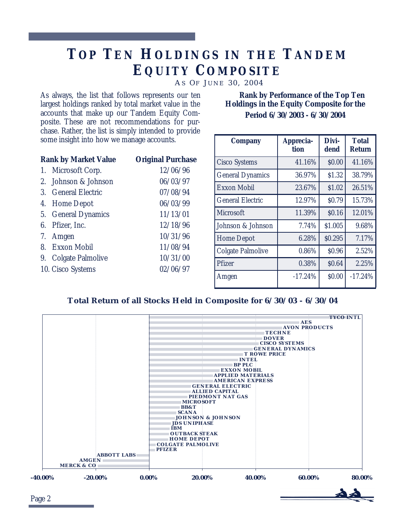# *TO P TE N HOLDINGS I N THE TANDEM EQUITY COMPOSITE*

*A S O F J UNE 30, 2004*

As always, the list that follows represents our ten largest holdings ranked by total market value in the accounts that make up our Tandem Equity Composite. These are not recommendations for purchase. Rather, the list is simply intended to provide some insight into how we manage accounts.

| <b>Rank by Market Value</b> | <b>Original Purchase</b> |  |  |
|-----------------------------|--------------------------|--|--|
| 1. Microsoft Corp.          | 12/06/96                 |  |  |
| 2. Johnson & Johnson        | 06/03/97                 |  |  |
| 3. General Electric         | 07/08/94                 |  |  |
| 4. Home Depot               | 06/03/99                 |  |  |
| 5. General Dynamics         | 11/13/01                 |  |  |
| 6. Pfizer, Inc.             | 12/18/96                 |  |  |
| 7. Amgen                    | 10/31/96                 |  |  |
| 8. Exxon Mobil              | 11/08/94                 |  |  |
| 9. Colgate Palmolive        | 10/31/00                 |  |  |
| 10. Cisco Systems           | 02/06/97                 |  |  |
|                             |                          |  |  |

 **Rank by Performance of the Top Ten Holdings in the Equity Composite for the Period 6/30/2003 - 6/30/2004**

| <b>Company</b>           | <b>Apprecia-</b><br>tion | Divi-<br>dend | <b>Total</b><br><b>Return</b> |
|--------------------------|--------------------------|---------------|-------------------------------|
| <b>Cisco Systems</b>     | 41.16%                   | \$0.00        | 41.16%                        |
| <b>General Dynamics</b>  | 36.97%                   | \$1.32        | 38.79%                        |
| <b>Exxon Mobil</b>       | 23.67%                   | \$1.02        | 26.51%                        |
| <b>General Electric</b>  | 12.97%                   | \$0.79        | 15.73%                        |
| <b>Microsoft</b>         | 11.39%                   | \$0.16        | 12.01%                        |
| Johnson & Johnson        | 7.74%                    | \$1.005       | 9.68%                         |
| <b>Home Depot</b>        | 6.28%                    | \$0.295       | 7.17%                         |
| <b>Colgate Palmolive</b> | 0.86%                    | \$0.96        | 2.52%                         |
| Pfizer                   | 0.38%                    | \$0.64        | 2.25%                         |
| Amgen                    | $-17.24%$                | \$0.00        | $-17.24%$                     |
|                          |                          |               |                               |

#### **Total Return of all Stocks Held in Composite for 6/30/03 - 6/30/04**



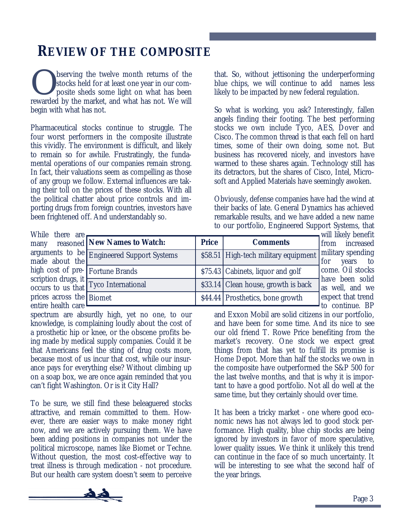## *REVIEW OF THE COMPOSITE*

Serving the twelve month returns of the stocks held for at least one year in our composite sheds some light on what has been rewarded by the market, and what has not. We will bserving the twelve month returns of the stocks held for at least one year in our composite sheds some light on what has been begin with what has not.

Pharmaceutical stocks continue to struggle. The four worst performers in the composite illustrate this vividly. The environment is difficult, and likely to remain so for awhile. Frustratingly, the fundamental operations of our companies remain strong. In fact, their valuations seem as compelling as those of any group we follow. External influences are taking their toll on the prices of these stocks. With all the political chatter about price controls and importing drugs from foreign countries, investors have been frightened off. And understandably so.

that. So, without jettisoning the underperforming blue chips, we will continue to add names less likely to be impacted by new federal regulation.

So what is working, you ask? Interestingly, fallen angels finding their footing. The best performing stocks we own include Tyco, AES, Dover and Cisco. The common thread is that each fell on hard times, some of their own doing, some not. But business has recovered nicely, and investors have warmed to these shares again. Technology still has its detractors, but the shares of Cisco, Intel, Microsoft and Applied Materials have seemingly awoken.

Obviously, defense companies have had the wind at their backs of late. General Dynamics has achieved remarkable results, and we have added a new name to our portfolio, Engineered Support Systems, that

While there are many reasoned arguments to be made about the high cost of prescription drugs, it occurs to us that prices across the entire health care

|                                   |              |                                      | will likely benefit                  |
|-----------------------------------|--------------|--------------------------------------|--------------------------------------|
| <b>New Names to Watch:</b>        | <b>Price</b> | <b>Comments</b>                      | from increased                       |
| <b>Engineered Support Systems</b> |              | \$58.51 High-tech military equipment | military spending<br>for<br>years to |
| <b>Fortune Brands</b>             |              | \$75.43 Cabinets, liquor and golf    | come. Oil stocks                     |
| $\frac{1}{2}$ Tyco International  |              | \$33.14 Clean house, growth is back  | have been solid<br>as well, and we   |
| <b>Biomet</b>                     |              | \$44.44 Prosthetics, bone growth     | expect that trend<br>to continue. BP |
|                                   |              |                                      |                                      |

spectrum are absurdly high, yet no one, to our knowledge, is complaining loudly about the cost of a prosthetic hip or knee, or the obscene profits being made by medical supply companies. Could it be that Americans feel the sting of drug costs more, because most of us incur that cost, while our insurance pays for everything else? Without climbing up on a soap box, we are once again reminded that you can't fight Washington. Or is it City Hall?

To be sure, we still find these beleaguered stocks attractive, and remain committed to them. However, there are easier ways to make money right now, and we are actively pursuing them. We have been adding positions in companies not under the political microscope, names like Biomet or Techne. Without question, the most cost-effective way to treat illness is through medication - not procedure. But our health care system doesn't seem to perceive

expect that trend to continue. BP and Exxon Mobil are solid citizens in our portfolio, and have been for some time. And its nice to see our old friend T. Rowe Price benefiting from the market's recovery. One stock we expect great things from that has yet to fulfill its promise is Home Depot. More than half the stocks we own in the composite have outperformed the S&P 500 for the last twelve months, and that is why it is important to have a good portfolio. Not all do well at the same time, but they certainly should over time.

It has been a tricky market - one where good economic news has not always led to good stock performance. High quality, blue chip stocks are being ignored by investors in favor of more speculative, lower quality issues. We think it unlikely this trend can continue in the face of so much uncertainty. It will be interesting to see what the second half of the year brings.

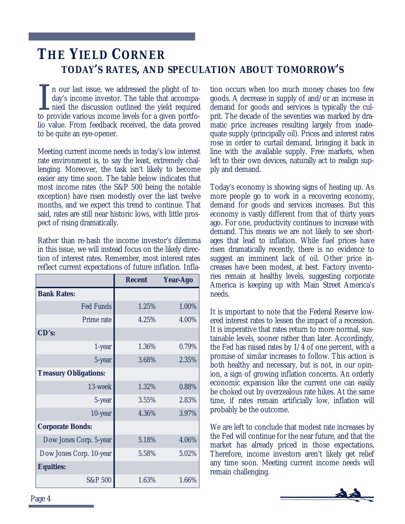## *THE YIELD CORNER TODAY'S RATES, AND SPECULATION ABOUT TOMORROW'S*

I n our last issue, we addressed the plight of to-<br>day's income investor. The table that accompa-<br>nied the discussion outlined the yield required<br>to provide various income layels for a given portfo n our last issue, we addressed the plight of today's income investor. The table that accompato provide various income levels for a given portfolio value. From feedback received, the data proved to be quite an eye-opener.

Meeting current income needs in today's low interest rate environment is, to say the least, extremely challenging. Moreover, the task isn't likely to become easier any time soon. The table below indicates that most income rates (the S&P 500 being the notable exception) have risen modestly over the last twelve months, and we expect this trend to continue. That said, rates are still near historic lows, with little prospect of rising dramatically.

Rather than re-hash the income investor's dilemma in this issue, we will instead focus on the likely direction of interest rates. Remember, most interest rates reflect current expectations of future inflation. Infla-

|                              | <b>Recent</b> | Year-Ago |
|------------------------------|---------------|----------|
| <b>Bank Rates:</b>           |               |          |
| <b>Fed Funds</b>             | 1.25%         | 1.00%    |
| Prime rate                   | 4.25%         | 4.00%    |
| CD's:                        |               |          |
| 1-year                       | 1.36%         | 0.79%    |
| 5-year                       | 3.68%         | 2.35%    |
| <b>Treasury Obligations:</b> |               |          |
| 13-week                      | 1.32%         | 0.88%    |
| 5-year                       | 3.55%         | 2.83%    |
| 10-year                      | 4.36%         | 3.97%    |
| <b>Corporate Bonds:</b>      |               |          |
| Dow Jones Corp. 5-year       | 5.18%         | 4.06%    |
| Dow Jones Corp. 10-year      | 5.58%         | 5.02%    |
| <b>Equities:</b>             |               |          |
| S&P 500                      | 1.63%         | 1.66%    |

tion occurs when too much money chases too few goods. A decrease in supply of and/or an increase in demand for goods and services is typically the culprit. The decade of the seventies was marked by dramatic price increases resulting largely from inadequate supply (principally oil). Prices and interest rates rose in order to curtail demand, bringing it back in line with the available supply. Free markets, when left to their own devices, naturally act to realign supply and demand.

Today's economy is showing signs of heating up. As more people go to work in a recovering economy, demand for goods and services increases. But this economy is vastly different from that of thirty years ago. For one, productivity continues to increase with demand. This means we are not likely to see shortages that lead to inflation. While fuel prices have risen dramatically recently, there is no evidence to suggest an imminent lack of oil. Other price increases have been modest, at best. Factory inventories remain at healthy levels, suggesting corporate America is keeping up with Main Street America's needs.

It is important to note that the Federal Reserve lowered interest rates to lessen the impact of a recession. It is imperative that rates return to more normal, sustainable levels, sooner rather than later. Accordingly, the Fed has raised rates by 1/4 of one percent, with a promise of similar increases to follow. This action is both healthy and necessary, but is not, in our opinion, a sign of growing inflation concerns. An orderly economic expansion like the current one can easily be choked out by overzealous rate hikes. At the same time, if rates remain artificially low, inflation will probably be the outcome.

We are left to conclude that modest rate increases by the Fed will continue for the near future, and that the market has already priced in those expectations. Therefore, income investors aren't likely get relief any time soon. Meeting current income needs will remain challenging.

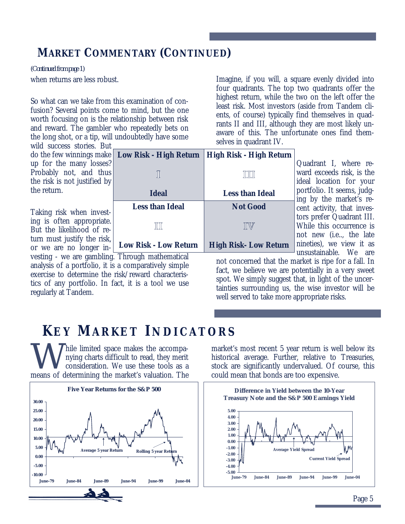### *MARKET COMMENTARY (CONTINUED)*

when returns are less robust. *(Continued from page 1)*

So what can we take from this examination of confusion? Several points come to mind, but the one worth focusing on is the relationship between risk and reward. The gambler who repeatedly bets on the long shot, or a tip, will undoubtedly have some

wild success stories. But do the few winnings make **Low Risk - High Return** up for the many losses? Probably not, and thus the risk is not justified by the return.

Taking risk when investing is often appropriate. But the likelihood of return must justify the risk, or we are no longer in-

vesting - we are gambling. Through mathematical analysis of a portfolio, it is a comparatively simple exercise to determine the risk/reward characteristics of any portfolio. In fact, it is a tool we use regularly at Tandem.

Imagine, if you will, a square evenly divided into four quadrants. The top two quadrants offer the highest return, while the two on the left offer the least risk. Most investors (aside from Tandem clients, of course) typically find themselves in quadrants II and III, although they are most likely unaware of this. The unfortunate ones find themselves in quadrant IV.

| <b>Low Risk - High Return</b>                     | <b>High Risk - High Return</b> |
|---------------------------------------------------|--------------------------------|
| I                                                 | IIII                           |
| <b>Ideal</b>                                      | <b>Less than Ideal</b>         |
| <b>Less than Ideal</b>                            | <b>Not Good</b>                |
| $\mathbb H$                                       | $\mathbb{I}\mathbb{W}$         |
| <b>Low Risk - Low Return</b><br>х.<br>. .<br>$-1$ | <b>High Risk-Low Return</b>    |

Quadrant I, where reward exceeds risk, is the ideal location for your portfolio. It seems, judging by the market's recent activity, that investors prefer Quadrant III. While this occurrence is not new (i.e.., the late nineties), we view it as unsustainable. We are

not concerned that the market is ripe for a fall. In fact, we believe we are potentially in a very sweet spot. We simply suggest that, in light of the uncertainties surrounding us, the wise investor will be well served to take more appropriate risks.

# *KE Y MARKET INDICATORS*

W hile limited space makes the accompa-<br>nying charts difficult to read, they merit<br>consideration. We use these tools as a<br>means of determining the market's valuation. The hile limited space makes the accompanying charts difficult to read, they merit consideration. We use these tools as a



market's most recent 5 year return is well below its historical average. Further, relative to Treasuries, stock are significantly undervalued. Of course, this could mean that bonds are too expensive.